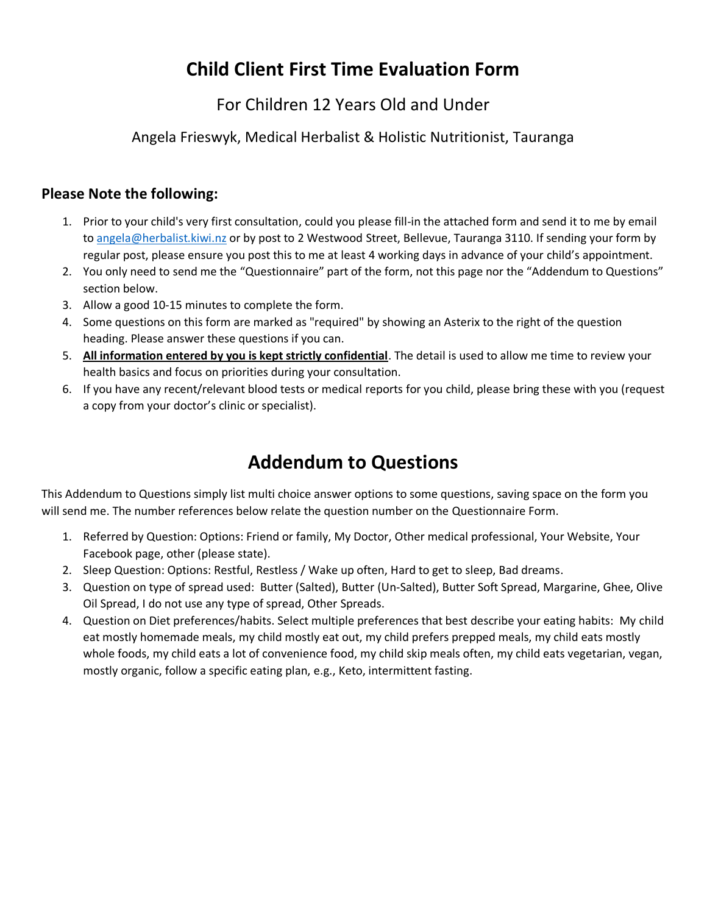# **Child Client First Time Evaluation Form**

# For Children 12 Years Old and Under

# Angela Frieswyk, Medical Herbalist & Holistic Nutritionist, Tauranga

## **Please Note the following:**

- 1. Prior to your child's very first consultation, could you please fill-in the attached form and send it to me by email to [angela@herbalist.kiwi.nz](mailto:angela@herbalist.kiwi.nz) or by post to 2 Westwood Street, Bellevue, Tauranga 3110. If sending your form by regular post, please ensure you post this to me at least 4 working days in advance of your child's appointment.
- 2. You only need to send me the "Questionnaire" part of the form, not this page nor the "Addendum to Questions" section below.
- 3. Allow a good 10-15 minutes to complete the form.
- 4. Some questions on this form are marked as "required" by showing an Asterix to the right of the question heading. Please answer these questions if you can.
- 5. **All information entered by you is kept strictly confidential**. The detail is used to allow me time to review your health basics and focus on priorities during your consultation.
- 6. If you have any recent/relevant blood tests or medical reports for you child, please bring these with you (request a copy from your doctor's clinic or specialist).

# **Addendum to Questions**

This Addendum to Questions simply list multi choice answer options to some questions, saving space on the form you will send me. The number references below relate the question number on the Questionnaire Form.

- 1. Referred by Question: Options: Friend or family, My Doctor, Other medical professional, Your Website, Your Facebook page, other (please state).
- 2. Sleep Question: Options: Restful, Restless / Wake up often, Hard to get to sleep, Bad dreams.
- 3. Question on type of spread used: Butter (Salted), Butter (Un-Salted), Butter Soft Spread, Margarine, Ghee, Olive Oil Spread, I do not use any type of spread, Other Spreads.
- 4. Question on Diet preferences/habits. Select multiple preferences that best describe your eating habits: My child eat mostly homemade meals, my child mostly eat out, my child prefers prepped meals, my child eats mostly whole foods, my child eats a lot of convenience food, my child skip meals often, my child eats vegetarian, vegan, mostly organic, follow a specific eating plan, e.g., Keto, intermittent fasting.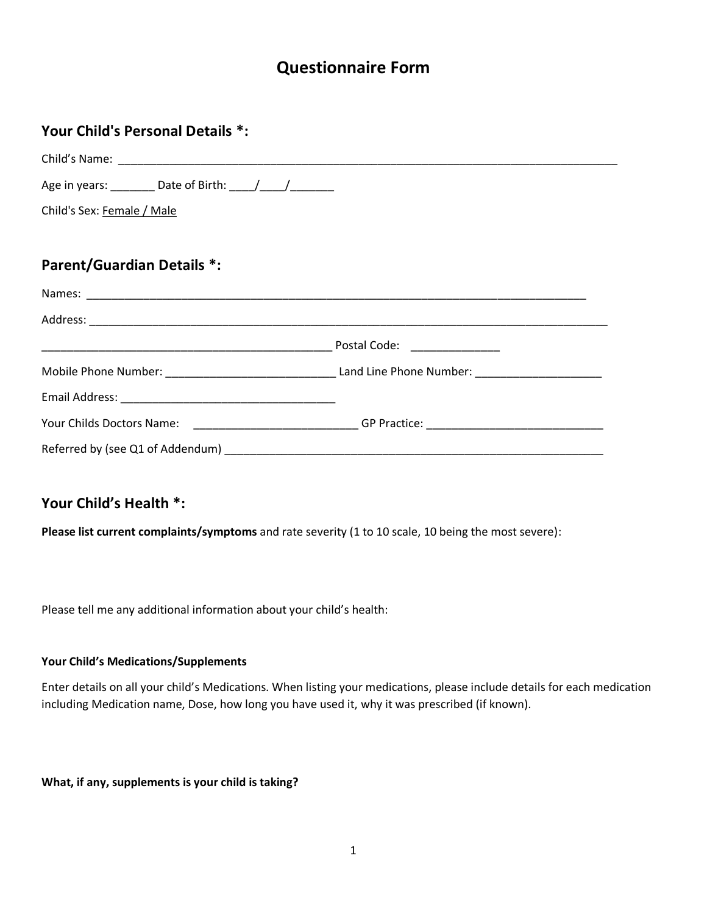# **Questionnaire Form**

| Your Child's Personal Details *:                                                                     |  |
|------------------------------------------------------------------------------------------------------|--|
|                                                                                                      |  |
|                                                                                                      |  |
| Child's Sex: Female / Male                                                                           |  |
|                                                                                                      |  |
| <b>Parent/Guardian Details *:</b>                                                                    |  |
|                                                                                                      |  |
|                                                                                                      |  |
|                                                                                                      |  |
|                                                                                                      |  |
|                                                                                                      |  |
| Your Childs Doctors Name: ___________________________GP Practice: __________________________________ |  |
|                                                                                                      |  |

# **Your Child's Health \*:**

**Please list current complaints/symptoms** and rate severity (1 to 10 scale, 10 being the most severe):

Please tell me any additional information about your child's health:

#### **Your Child's Medications/Supplements**

Enter details on all your child's Medications. When listing your medications, please include details for each medication including Medication name, Dose, how long you have used it, why it was prescribed (if known).

**What, if any, supplements is your child is taking?**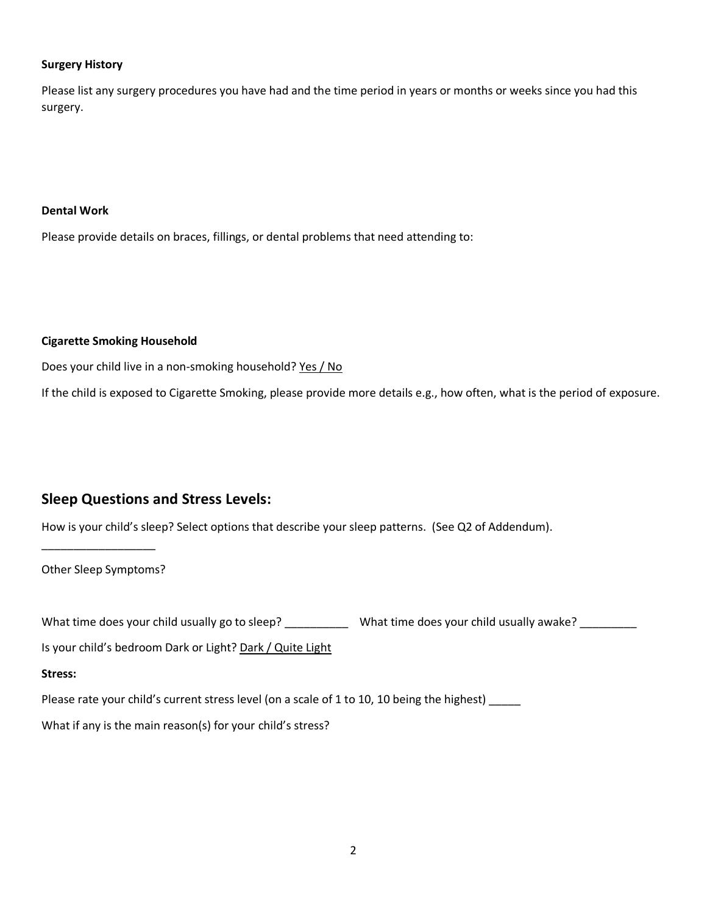#### **Surgery History**

Please list any surgery procedures you have had and the time period in years or months or weeks since you had this surgery.

#### **Dental Work**

Please provide details on braces, fillings, or dental problems that need attending to:

#### **Cigarette Smoking Household**

Does your child live in a non-smoking household? Yes / No

If the child is exposed to Cigarette Smoking, please provide more details e.g., how often, what is the period of exposure.

### **Sleep Questions and Stress Levels:**

How is your child's sleep? Select options that describe your sleep patterns. (See Q2 of Addendum).

Other Sleep Symptoms?

\_\_\_\_\_\_\_\_\_\_\_\_\_\_\_\_\_\_

What time does your child usually go to sleep? \_\_\_\_\_\_\_\_\_\_\_\_\_\_ What time does your child usually awake? \_\_\_\_\_\_\_

Is your child's bedroom Dark or Light? Dark / Quite Light

#### **Stress:**

Please rate your child's current stress level (on a scale of 1 to 10, 10 being the highest) \_\_\_\_\_

What if any is the main reason(s) for your child's stress?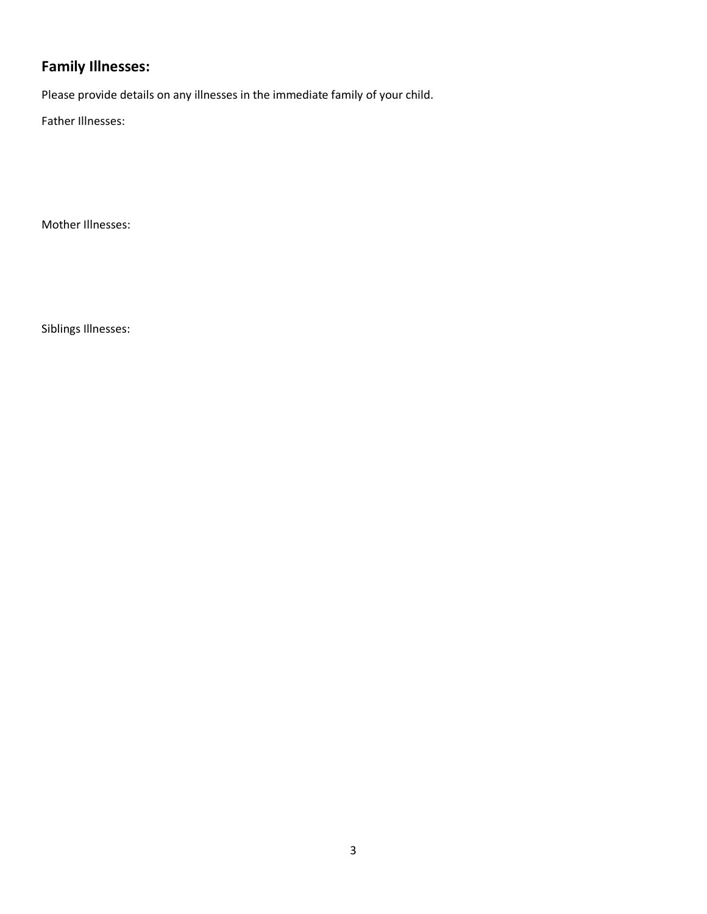# **Family Illnesses:**

Please provide details on any illnesses in the immediate family of your child.

Father Illnesses:

Mother Illnesses:

Siblings Illnesses: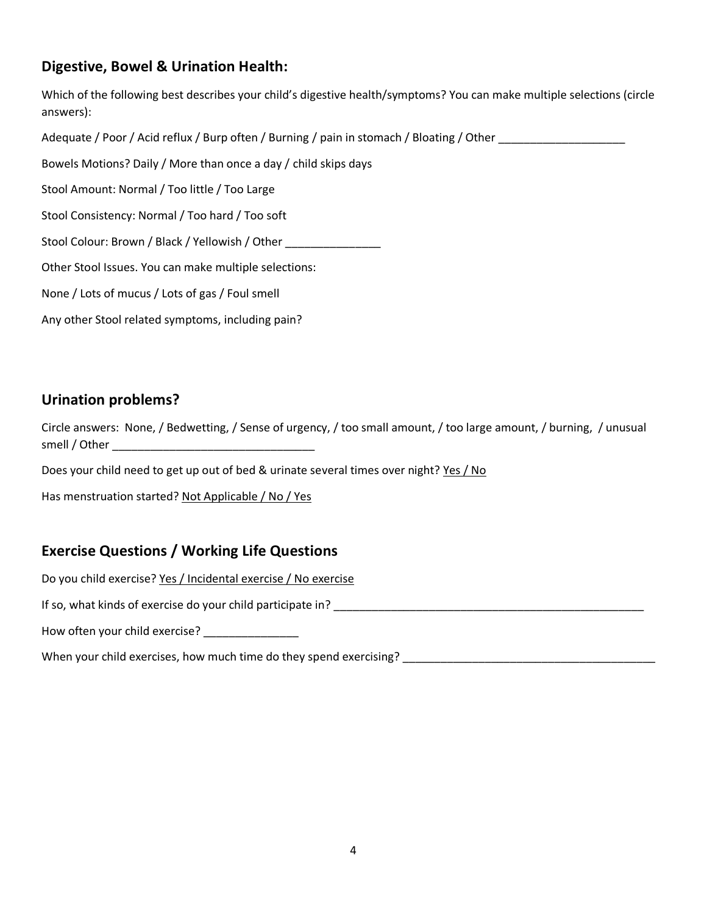## **Digestive, Bowel & Urination Health:**

Which of the following best describes your child's digestive health/symptoms? You can make multiple selections (circle answers):

Adequate / Poor / Acid reflux / Burp often / Burning / pain in stomach / Bloating / Other

Bowels Motions? Daily / More than once a day / child skips days

Stool Amount: Normal / Too little / Too Large

Stool Consistency: Normal / Too hard / Too soft

Stool Colour: Brown / Black / Yellowish / Other

Other Stool Issues. You can make multiple selections:

None / Lots of mucus / Lots of gas / Foul smell

Any other Stool related symptoms, including pain?

### **Urination problems?**

Circle answers: None, / Bedwetting, / Sense of urgency, / too small amount, / too large amount, / burning, / unusual smell / Other \_\_\_\_\_\_\_\_\_\_\_\_\_\_\_\_\_\_\_\_\_\_\_\_\_\_\_\_\_\_\_\_

Does your child need to get up out of bed & urinate several times over night? Yes / No

Has menstruation started? Not Applicable / No / Yes

# **Exercise Questions / Working Life Questions**

Do you child exercise? Yes / Incidental exercise / No exercise

If so, what kinds of exercise do your child participate in? \_\_\_\_\_\_\_\_\_\_\_\_\_\_\_\_\_\_\_\_\_\_\_\_\_\_\_\_\_\_\_\_\_\_\_\_\_\_\_\_\_\_\_\_\_\_\_\_\_

How often your child exercise? \_\_\_\_\_\_\_\_\_\_\_\_\_\_\_

When your child exercises, how much time do they spend exercising? \_\_\_\_\_\_\_\_\_\_\_\_\_\_\_\_\_\_\_\_\_\_\_\_\_\_\_\_\_\_\_\_\_\_\_\_\_\_\_\_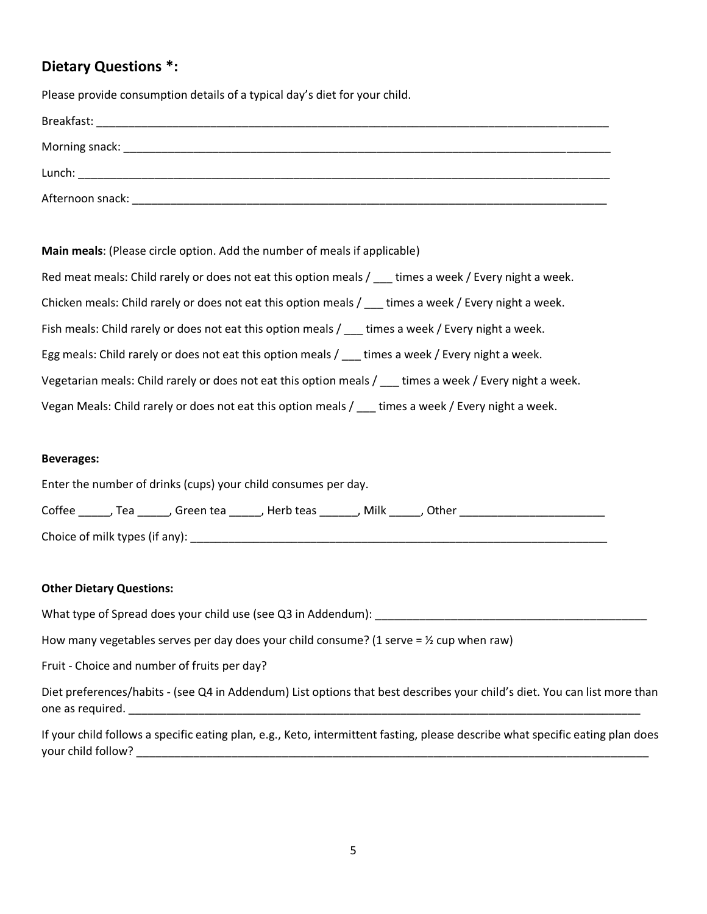## **Dietary Questions \*:**

Please provide consumption details of a typical day's diet for your child.

| Breakfast:       |  |  |
|------------------|--|--|
| Morning snack:   |  |  |
| Lunch:           |  |  |
| Afternoon snack: |  |  |

**Main meals**: (Please circle option. Add the number of meals if applicable)

| Red meat meals: Child rarely or does not eat this option meals / ___ times a week / Every night a week. |
|---------------------------------------------------------------------------------------------------------|
| Chicken meals: Child rarely or does not eat this option meals / ___ times a week / Every night a week.  |
| Fish meals: Child rarely or does not eat this option meals / times a week / Every night a week.         |
| Egg meals: Child rarely or does not eat this option meals / times a week / Every night a week.          |
| Vegetarian meals: Child rarely or does not eat this option meals / times a week / Every night a week.   |
| Vegan Meals: Child rarely or does not eat this option meals / ___ times a week / Every night a week.    |

#### **Beverages:**

| Enter the number of drinks (cups) your child consumes per day. |       |             |             |      |         |  |  |  |
|----------------------------------------------------------------|-------|-------------|-------------|------|---------|--|--|--|
| Coffee                                                         | . Tea | . Green tea | , Herb teas | Milk | . Other |  |  |  |
| Choice of milk types (if any):                                 |       |             |             |      |         |  |  |  |

#### **Other Dietary Questions:**

What type of Spread does your child use (see Q3 in Addendum):

How many vegetables serves per day does your child consume? (1 serve =  $\frac{1}{2}$  cup when raw)

Fruit - Choice and number of fruits per day?

Diet preferences/habits - (see Q4 in Addendum) List options that best describes your child's diet. You can list more than one as required. \_\_\_\_\_\_\_\_\_\_\_\_\_\_\_\_\_\_\_\_\_\_\_\_\_\_\_\_\_\_\_\_\_\_\_\_\_\_\_\_\_\_\_\_\_\_\_\_\_\_\_\_\_\_\_\_\_\_\_\_\_\_\_\_\_\_\_\_\_\_\_\_\_\_\_\_\_\_\_\_\_

If your child follows a specific eating plan, e.g., Keto, intermittent fasting, please describe what specific eating plan does your child follow? \_\_\_\_\_\_\_\_\_\_\_\_\_\_\_\_\_\_\_\_\_\_\_\_\_\_\_\_\_\_\_\_\_\_\_\_\_\_\_\_\_\_\_\_\_\_\_\_\_\_\_\_\_\_\_\_\_\_\_\_\_\_\_\_\_\_\_\_\_\_\_\_\_\_\_\_\_\_\_\_\_